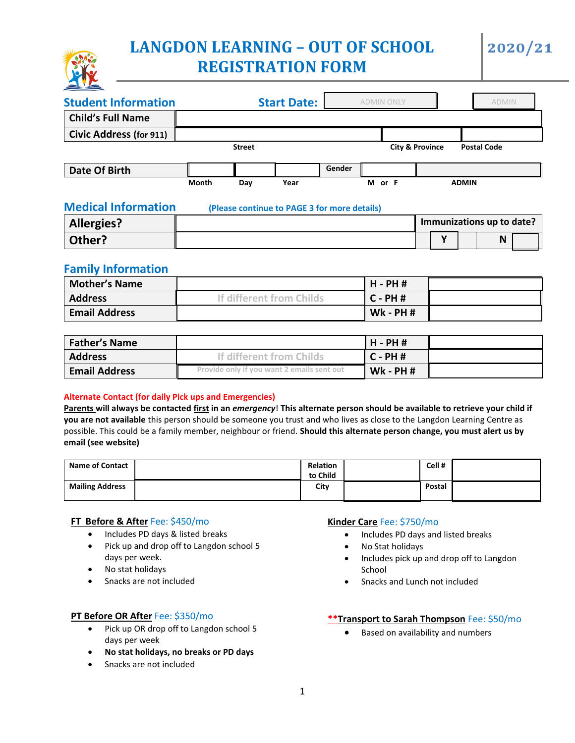# **LANGDON LEARNING – OUT OF SCHOOL REGISTRATION FORM**

#### **Student Information Start Date: Child's Full Name Civic Address (for 911)** *Street* **City & Province Postal Code Date Of Birth Gender Gender** l  **Month Day Year M or F ADMIN**  ADMIN ONLY ADMIN ADMIN ONLY

| Allergies? |  |  | Immunizations up to date? |
|------------|--|--|---------------------------|
| Other?     |  |  | N                         |
|            |  |  |                           |

# **Family Information**

| <b>Mother's Name</b> |                          | H - PH #        |  |
|----------------------|--------------------------|-----------------|--|
| <b>Address</b>       | If different from Childs | $C - PH$ #      |  |
| <b>Email Address</b> |                          | <b>Wk - PH#</b> |  |

| <b>Father's Name</b> |                                            | l H - PH #      |  |
|----------------------|--------------------------------------------|-----------------|--|
| <b>Address</b>       | If different from Childs                   | $C - PH$ #      |  |
| <b>Email Address</b> | Provide only if you want 2 emails sent out | <b>Wk - PH#</b> |  |

### **Alternate Contact (for daily Pick ups and Emergencies)**

**Parents will always be contacted first in an** *emergency*! **This alternate person should be available to retrieve your child if you are not available** this person should be someone you trust and who lives as close to the Langdon Learning Centre as possible. This could be a family member, neighbour or friend. **Should this alternate person change, you must alert us by email (see website)** 

| Name of Contact        | <b>Relation</b><br>to Child | Cell#  |  |
|------------------------|-----------------------------|--------|--|
| <b>Mailing Address</b> | City                        | Postal |  |

### **FT Before & After** Fee: \$450/mo

- Includes PD days & listed breaks
- Pick up and drop off to Langdon school 5 days per week.
- No stat holidays
- Snacks are not included

### **PT Before OR After** Fee: \$350/mo

- Pick up OR drop off to Langdon school 5 days per week
- **No stat holidays, no breaks or PD days**
- Snacks are not included

### **Kinder Care** Fee: \$750/mo

- Includes PD days and listed breaks
- No Stat holidays
- Includes pick up and drop off to Langdon School
- Snacks and Lunch not included

### **\*\*Transport to Sarah Thompson** Fee: \$50/mo

• Based on availability and numbers



**Medical Information (Please continue to PAGE 3 for more details)**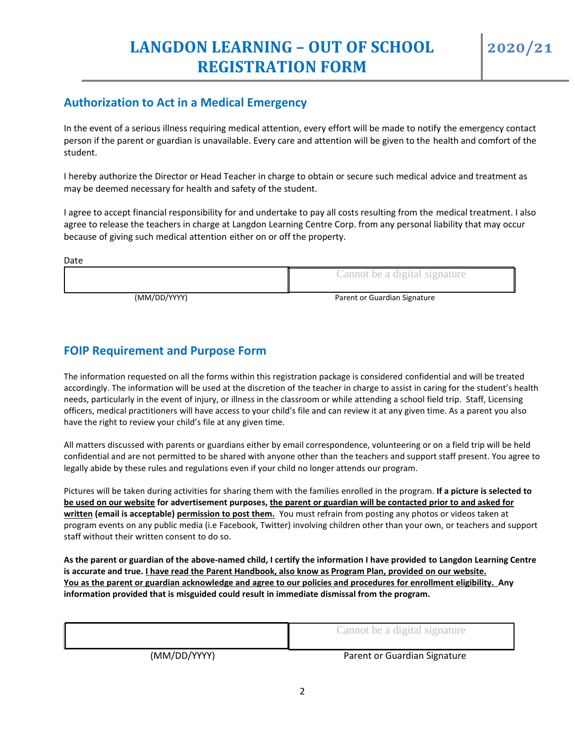# **Authorization to Act in a Medical Emergency**

In the event of a serious illness requiring medical attention, every effort will be made to notify the emergency contact person if the parent or guardian is unavailable. Every care and attention will be given to the health and comfort of the student.

I hereby authorize the Director or Head Teacher in charge to obtain or secure such medical advice and treatment as may be deemed necessary for health and safety of the student.

I agree to accept financial responsibility for and undertake to pay all costs resulting from the medical treatment. I also agree to release the teachers in charge at Langdon Learning Centre Corp. from any personal liability that may occur because of giving such medical attention either on or off the property.

| Date         |                               |
|--------------|-------------------------------|
|              | Cannot be a digital signature |
| (MM/DD/YYYY) | Parent or Guardian Signature  |

# **FOIP Requirement and Purpose Form**

The information requested on all the forms within this registration package is considered confidential and will be treated accordingly. The information will be used at the discretion of the teacher in charge to assist in caring for the student's health needs, particularly in the event of injury, or illness in the classroom or while attending a school field trip. Staff, Licensing officers, medical practitioners will have access to your child's file and can review it at any given time. As a parent you also have the right to review your child's file at any given time.

All matters discussed with parents or guardians either by email correspondence, volunteering or on a field trip will be held confidential and are not permitted to be shared with anyone other than the teachers and support staff present. You agree to legally abide by these rules and regulations even if your child no longer attends our program.

Pictures will be taken during activities for sharing them with the families enrolled in the program. **If a picture is selected to be used on our website for advertisement purposes, the parent or guardian will be contacted prior to and asked for written (email is acceptable) permission to post them.** You must refrain from posting any photos or videos taken at program events on any public media (i.e Facebook, Twitter) involving children other than your own, or teachers and support staff without their written consent to do so.

**As the parent or guardian of the above-named child, I certify the information I have provided to Langdon Learning Centre is accurate and true. I have read the Parent Handbook, also know as Program Plan, provided on our website. You as the parent or guardian acknowledge and agree to our policies and procedures for enrollment eligibility. Any information provided that is misguided could result in immediate dismissal from the program.**

|              | Cannot be a digital signature |
|--------------|-------------------------------|
| (MM/DD/YYYY) | Parent or Guardian Signature  |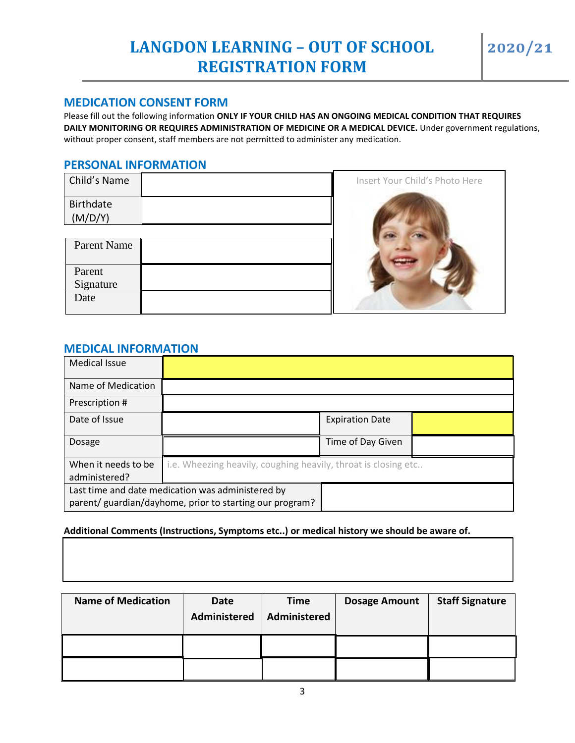## **MEDICATION CONSENT FORM**

Please fill out the following information **ONLY IF YOUR CHILD HAS AN ONGOING MEDICAL CONDITION THAT REQUIRES DAILY MONITORING OR REQUIRES ADMINISTRATION OF MEDICINE OR A MEDICAL DEVICE.** Under government regulations, without proper consent, staff members are not permitted to administer any medication.

## **PERSONAL INFORMATION**

| Child's Name     |  |
|------------------|--|
| <b>Birthdate</b> |  |
| (M/D/Y)          |  |
|                  |  |

| Parent Name         |  |
|---------------------|--|
| Parent<br>Signature |  |
| Date                |  |



## **MEDICAL INFORMATION**

| <b>Medical Issue</b> |                                                                |                        |  |
|----------------------|----------------------------------------------------------------|------------------------|--|
| Name of Medication   |                                                                |                        |  |
| Prescription #       |                                                                |                        |  |
| Date of Issue        |                                                                | <b>Expiration Date</b> |  |
| Dosage               |                                                                | Time of Day Given      |  |
| When it needs to be  | i.e. Wheezing heavily, coughing heavily, throat is closing etc |                        |  |
| administered?        |                                                                |                        |  |
|                      | Last time and date medication was administered by              |                        |  |
|                      | parent/ guardian/dayhome, prior to starting our program?       |                        |  |

#### **Additional Comments (Instructions, Symptoms etc..) or medical history we should be aware of.**

| <b>Name of Medication</b> | Date<br><b>Administered</b> | Time<br>Administered | <b>Dosage Amount</b> | <b>Staff Signature</b> |
|---------------------------|-----------------------------|----------------------|----------------------|------------------------|
|                           |                             |                      |                      |                        |
|                           |                             |                      |                      |                        |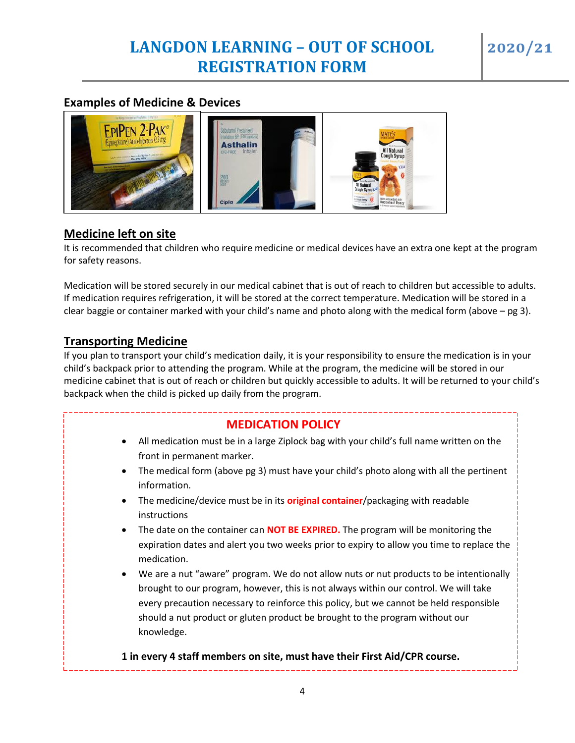# **Examples of Medicine & Devices**



# **Medicine left on site**

It is recommended that children who require medicine or medical devices have an extra one kept at the program for safety reasons.

Medication will be stored securely in our medical cabinet that is out of reach to children but accessible to adults. If medication requires refrigeration, it will be stored at the correct temperature. Medication will be stored in a clear baggie or container marked with your child's name and photo along with the medical form (above  $-$  pg 3).

# **Transporting Medicine**

If you plan to transport your child's medication daily, it is your responsibility to ensure the medication is in your child's backpack prior to attending the program. While at the program, the medicine will be stored in our medicine cabinet that is out of reach or children but quickly accessible to adults. It will be returned to your child's backpack when the child is picked up daily from the program.

# **MEDICATION POLICY**

- All medication must be in a large Ziplock bag with your child's full name written on the front in permanent marker.
- The medical form (above pg 3) must have your child's photo along with all the pertinent information.
- The medicine/device must be in its **original container**/packaging with readable instructions
- The date on the container can **NOT BE EXPIRED.** The program will be monitoring the expiration dates and alert you two weeks prior to expiry to allow you time to replace the medication.
- We are a nut "aware" program. We do not allow nuts or nut products to be intentionally brought to our program, however, this is not always within our control. We will take every precaution necessary to reinforce this policy, but we cannot be held responsible should a nut product or gluten product be brought to the program without our knowledge.

**1 in every 4 staff members must have their First Aid/CPR course. 1 in every 4 staff members on site, must have their First Aid/CPR course.**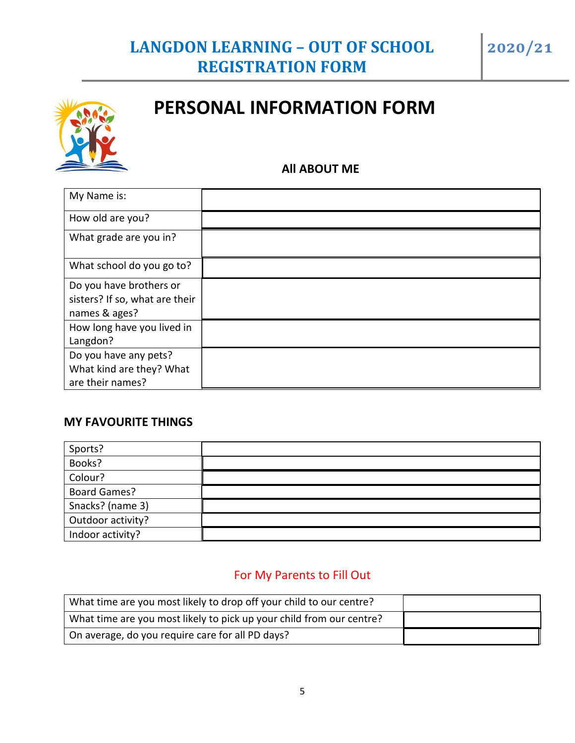

# **PERSONAL INFORMATION FORM**

# **All ABOUT ME**

| My Name is:                    |  |
|--------------------------------|--|
| How old are you?               |  |
| What grade are you in?         |  |
| What school do you go to?      |  |
| Do you have brothers or        |  |
| sisters? If so, what are their |  |
| names & ages?                  |  |
| How long have you lived in     |  |
| Langdon?                       |  |
| Do you have any pets?          |  |
| What kind are they? What       |  |
| are their names?               |  |

# **MY FAVOURITE THINGS**

| Sports?             |  |
|---------------------|--|
| Books?              |  |
| Colour?             |  |
| <b>Board Games?</b> |  |
| Snacks? (name 3)    |  |
| Outdoor activity?   |  |
| Indoor activity?    |  |

# For My Parents to Fill Out

| What time are you most likely to drop off your child to our centre?  |  |
|----------------------------------------------------------------------|--|
| What time are you most likely to pick up your child from our centre? |  |
| On average, do you require care for all PD days?                     |  |